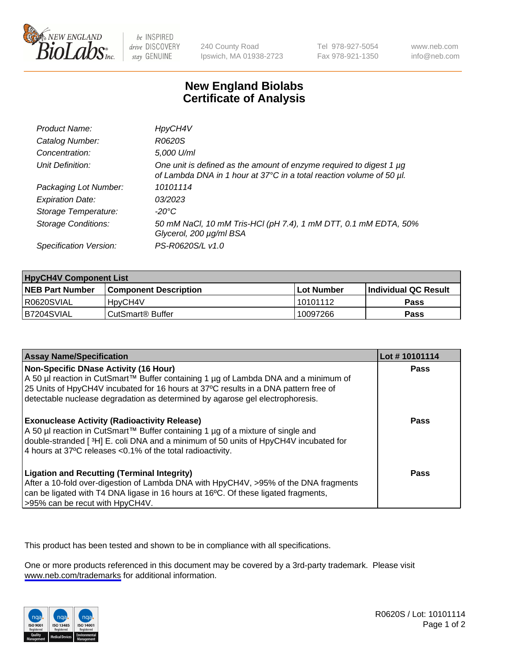

be INSPIRED drive DISCOVERY stay GENUINE

240 County Road Ipswich, MA 01938-2723 Tel 978-927-5054 Fax 978-921-1350

www.neb.com info@neb.com

## **New England Biolabs Certificate of Analysis**

| Product Name:              | HpyCH4V                                                                                                                                     |
|----------------------------|---------------------------------------------------------------------------------------------------------------------------------------------|
| Catalog Number:            | R0620S                                                                                                                                      |
| Concentration:             | 5,000 U/ml                                                                                                                                  |
| Unit Definition:           | One unit is defined as the amount of enzyme required to digest 1 µg<br>of Lambda DNA in 1 hour at 37°C in a total reaction volume of 50 µl. |
| Packaging Lot Number:      | 10101114                                                                                                                                    |
| <b>Expiration Date:</b>    | 03/2023                                                                                                                                     |
| Storage Temperature:       | -20°C                                                                                                                                       |
| <b>Storage Conditions:</b> | 50 mM NaCl, 10 mM Tris-HCl (pH 7.4), 1 mM DTT, 0.1 mM EDTA, 50%<br>Glycerol, 200 µg/ml BSA                                                  |
| Specification Version:     | PS-R0620S/L v1.0                                                                                                                            |

| <b>HpyCH4V Component List</b> |                         |              |                             |  |
|-------------------------------|-------------------------|--------------|-----------------------------|--|
| <b>NEB Part Number</b>        | l Component Description | l Lot Number | <b>Individual QC Result</b> |  |
| I R0620SVIAL                  | 'HpyCH4V                | 10101112     | <b>Pass</b>                 |  |
| B7204SVIAL                    | l CutSmart® Buffer      | 10097266     | Pass                        |  |

| <b>Assay Name/Specification</b>                                                                                                                                                                                                                                                                             | Lot #10101114 |
|-------------------------------------------------------------------------------------------------------------------------------------------------------------------------------------------------------------------------------------------------------------------------------------------------------------|---------------|
| <b>Non-Specific DNase Activity (16 Hour)</b><br>A 50 µl reaction in CutSmart™ Buffer containing 1 µg of Lambda DNA and a minimum of<br>25 Units of HpyCH4V incubated for 16 hours at 37°C results in a DNA pattern free of<br>detectable nuclease degradation as determined by agarose gel electrophoresis. | <b>Pass</b>   |
| <b>Exonuclease Activity (Radioactivity Release)</b><br>A 50 µl reaction in CutSmart™ Buffer containing 1 µg of a mixture of single and<br>double-stranded [3H] E. coli DNA and a minimum of 50 units of HpyCH4V incubated for<br>4 hours at 37°C releases < 0.1% of the total radioactivity.                | <b>Pass</b>   |
| <b>Ligation and Recutting (Terminal Integrity)</b><br>After a 10-fold over-digestion of Lambda DNA with HpyCH4V, >95% of the DNA fragments<br>can be ligated with T4 DNA ligase in 16 hours at 16°C. Of these ligated fragments,<br>>95% can be recut with HpyCH4V.                                         | Pass          |

This product has been tested and shown to be in compliance with all specifications.

One or more products referenced in this document may be covered by a 3rd-party trademark. Please visit <www.neb.com/trademarks>for additional information.